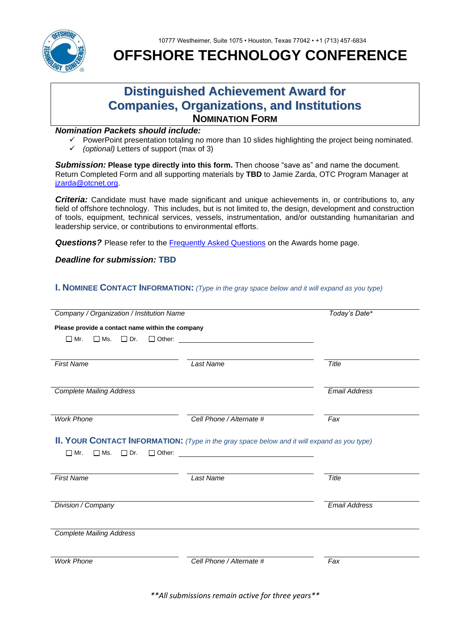10777 Westheimer, Suite 1075 • Houston, Texas 77042 • +1 (713) 457-6834



**OFFSHORE TECHNOLOGY CONFERENCE** 

# **Distinguished Achievement Award for Companies, Organizations, and Institutions NOMINATION FORM**

## *Nomination Packets should include:*

- $\checkmark$  PowerPoint presentation totaling no more than 10 slides highlighting the project being nominated.
- ✓ *(optional)* Letters of support (max of 3)

*Submission:* **Please type directly into this form.** Then choose "save as" and name the document. Return Completed Form and all supporting materials by **TBD** to Jamie Zarda, OTC Program Manager at [jzarda@otcnet.org.](mailto:sbruenning@otcnet.org)

*Criteria:* Candidate must have made significant and unique achievements in, or contributions to, any field of offshore technology. This includes, but is not limited to, the design, development and construction of tools, equipment, technical services, vessels, instrumentation, and/or outstanding humanitarian and leadership service, or contributions to environmental efforts.

*Questions?* Please refer to the [Frequently Asked Questions](https://www.otcnet.org/otc-awards-frequently-asked-questions) on the Awards home page.

#### *Deadline for submission:* **TBD**

#### **I. NOMINEE CONTACT INFORMATION:** *(Type in the gray space below and it will expand as you type)*

| Company / Organization / Institution Name                                                          | Today's Date*                                                                                                                                                                                                                        |                      |
|----------------------------------------------------------------------------------------------------|--------------------------------------------------------------------------------------------------------------------------------------------------------------------------------------------------------------------------------------|----------------------|
| Please provide a contact name within the company                                                   |                                                                                                                                                                                                                                      |                      |
| $\Box$ Mr.<br>$\square$ Ms.<br>$\Box$ Dr.<br>$\Box$ Other:                                         |                                                                                                                                                                                                                                      |                      |
|                                                                                                    |                                                                                                                                                                                                                                      |                      |
| <b>First Name</b>                                                                                  | Last Name                                                                                                                                                                                                                            | Title                |
|                                                                                                    |                                                                                                                                                                                                                                      |                      |
| <b>Complete Mailing Address</b>                                                                    |                                                                                                                                                                                                                                      | Email Address        |
|                                                                                                    |                                                                                                                                                                                                                                      |                      |
| <b>Work Phone</b>                                                                                  | Cell Phone / Alternate #                                                                                                                                                                                                             | Fax                  |
|                                                                                                    |                                                                                                                                                                                                                                      |                      |
| <b>II. YOUR CONTACT INFORMATION:</b> (Type in the gray space below and it will expand as you type) |                                                                                                                                                                                                                                      |                      |
|                                                                                                    |                                                                                                                                                                                                                                      |                      |
| $\Box$ Mr.<br>$\square$ Ms.<br>$\Box$ Dr.<br>$\Box$ Other:                                         | <u>and the company of the company of the company of the company of the company of the company of the company of the company of the company of the company of the company of the company of the company of the company of the com</u> |                      |
|                                                                                                    |                                                                                                                                                                                                                                      |                      |
| <b>First Name</b>                                                                                  | Last Name                                                                                                                                                                                                                            | Title                |
|                                                                                                    |                                                                                                                                                                                                                                      |                      |
| Division / Company                                                                                 |                                                                                                                                                                                                                                      | <b>Email Address</b> |
|                                                                                                    |                                                                                                                                                                                                                                      |                      |
| <b>Complete Mailing Address</b>                                                                    |                                                                                                                                                                                                                                      |                      |
|                                                                                                    |                                                                                                                                                                                                                                      |                      |
| <b>Work Phone</b>                                                                                  | Cell Phone / Alternate #                                                                                                                                                                                                             | Fax                  |